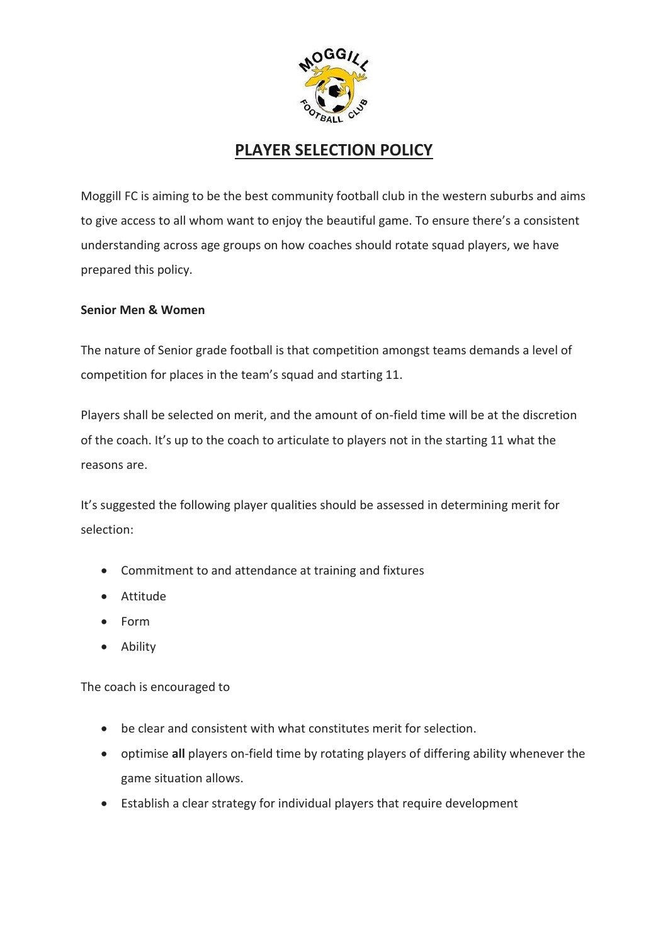

## **PLAYER SELECTION POLICY**

Moggill FC is aiming to be the best community football club in the western suburbs and aims to give access to all whom want to enjoy the beautiful game. To ensure there's a consistent understanding across age groups on how coaches should rotate squad players, we have prepared this policy.

## **Senior Men & Women**

The nature of Senior grade football is that competition amongst teams demands a level of competition for places in the team's squad and starting 11.

Players shall be selected on merit, and the amount of on-field time will be at the discretion of the coach. It's up to the coach to articulate to players not in the starting 11 what the reasons are.

It's suggested the following player qualities should be assessed in determining merit for selection:

- Commitment to and attendance at training and fixtures
- Attitude
- Form
- Ability

The coach is encouraged to

- be clear and consistent with what constitutes merit for selection.
- optimise **all** players on-field time by rotating players of differing ability whenever the game situation allows.
- Establish a clear strategy for individual players that require development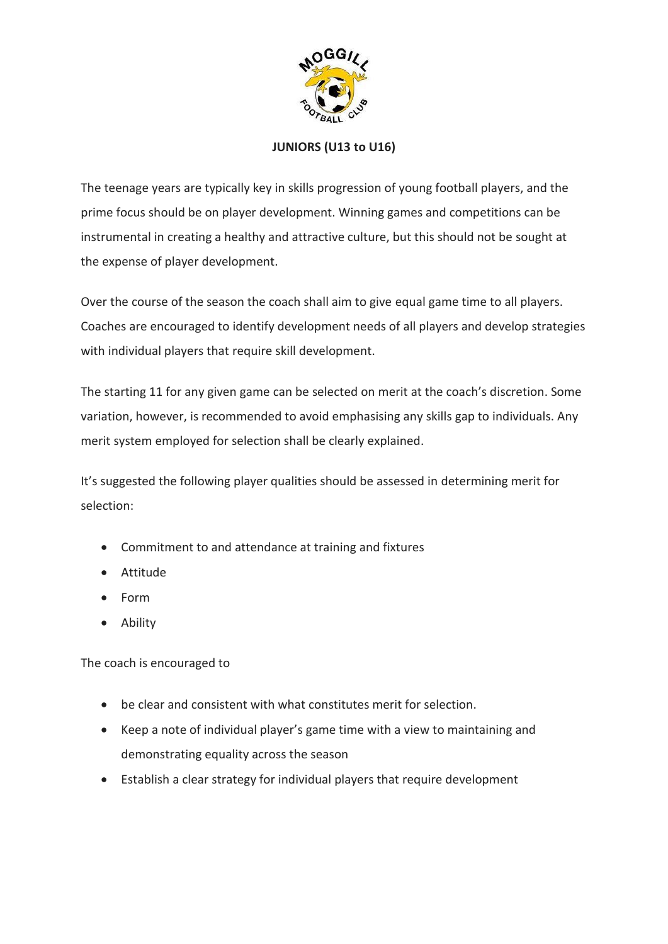

## **JUNIORS (U13 to U16)**

The teenage years are typically key in skills progression of young football players, and the prime focus should be on player development. Winning games and competitions can be instrumental in creating a healthy and attractive culture, but this should not be sought at the expense of player development.

Over the course of the season the coach shall aim to give equal game time to all players. Coaches are encouraged to identify development needs of all players and develop strategies with individual players that require skill development.

The starting 11 for any given game can be selected on merit at the coach's discretion. Some variation, however, is recommended to avoid emphasising any skills gap to individuals. Any merit system employed for selection shall be clearly explained.

It's suggested the following player qualities should be assessed in determining merit for selection:

- Commitment to and attendance at training and fixtures
- Attitude
- Form
- Ability

The coach is encouraged to

- be clear and consistent with what constitutes merit for selection.
- Keep a note of individual player's game time with a view to maintaining and demonstrating equality across the season
- Establish a clear strategy for individual players that require development